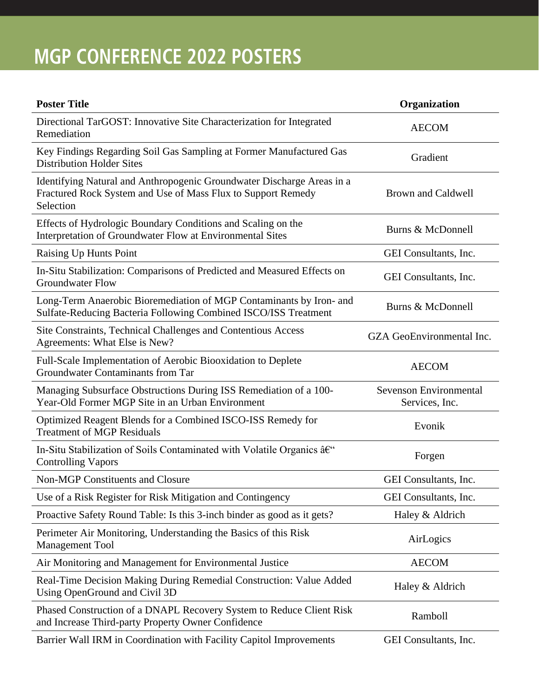## **MGP CONFERENCE 2022 POSTERS**

| <b>Poster Title</b>                                                                                                                                 | Organization                                    |
|-----------------------------------------------------------------------------------------------------------------------------------------------------|-------------------------------------------------|
| Directional TarGOST: Innovative Site Characterization for Integrated<br>Remediation                                                                 | <b>AECOM</b>                                    |
| Key Findings Regarding Soil Gas Sampling at Former Manufactured Gas<br><b>Distribution Holder Sites</b>                                             | Gradient                                        |
| Identifying Natural and Anthropogenic Groundwater Discharge Areas in a<br>Fractured Rock System and Use of Mass Flux to Support Remedy<br>Selection | <b>Brown and Caldwell</b>                       |
| Effects of Hydrologic Boundary Conditions and Scaling on the<br>Interpretation of Groundwater Flow at Environmental Sites                           | Burns & McDonnell                               |
| Raising Up Hunts Point                                                                                                                              | GEI Consultants, Inc.                           |
| In-Situ Stabilization: Comparisons of Predicted and Measured Effects on<br><b>Groundwater Flow</b>                                                  | GEI Consultants, Inc.                           |
| Long-Term Anaerobic Bioremediation of MGP Contaminants by Iron- and<br>Sulfate-Reducing Bacteria Following Combined ISCO/ISS Treatment              | Burns & McDonnell                               |
| Site Constraints, Technical Challenges and Contentious Access<br>Agreements: What Else is New?                                                      | GZA GeoEnvironmental Inc.                       |
| Full-Scale Implementation of Aerobic Biooxidation to Deplete<br>Groundwater Contaminants from Tar                                                   | <b>AECOM</b>                                    |
| Managing Subsurface Obstructions During ISS Remediation of a 100-<br>Year-Old Former MGP Site in an Urban Environment                               | <b>Sevenson Environmental</b><br>Services, Inc. |
| Optimized Reagent Blends for a Combined ISCO-ISS Remedy for<br><b>Treatment of MGP Residuals</b>                                                    | Evonik                                          |
| In-Situ Stabilization of Soils Contaminated with Volatile Organics â€"<br><b>Controlling Vapors</b>                                                 | Forgen                                          |
| <b>Non-MGP Constituents and Closure</b>                                                                                                             | GEI Consultants, Inc.                           |
| Use of a Risk Register for Risk Mitigation and Contingency                                                                                          | GEI Consultants, Inc.                           |
| Proactive Safety Round Table: Is this 3-inch binder as good as it gets?                                                                             | Haley & Aldrich                                 |
| Perimeter Air Monitoring, Understanding the Basics of this Risk<br><b>Management Tool</b>                                                           | AirLogics                                       |
| Air Monitoring and Management for Environmental Justice                                                                                             | <b>AECOM</b>                                    |
| Real-Time Decision Making During Remedial Construction: Value Added<br>Using OpenGround and Civil 3D                                                | Haley & Aldrich                                 |
| Phased Construction of a DNAPL Recovery System to Reduce Client Risk<br>and Increase Third-party Property Owner Confidence                          | Ramboll                                         |
|                                                                                                                                                     |                                                 |

Barrier Wall IRM in Coordination with Facility Capitol Improvements GEI Consultants, Inc.